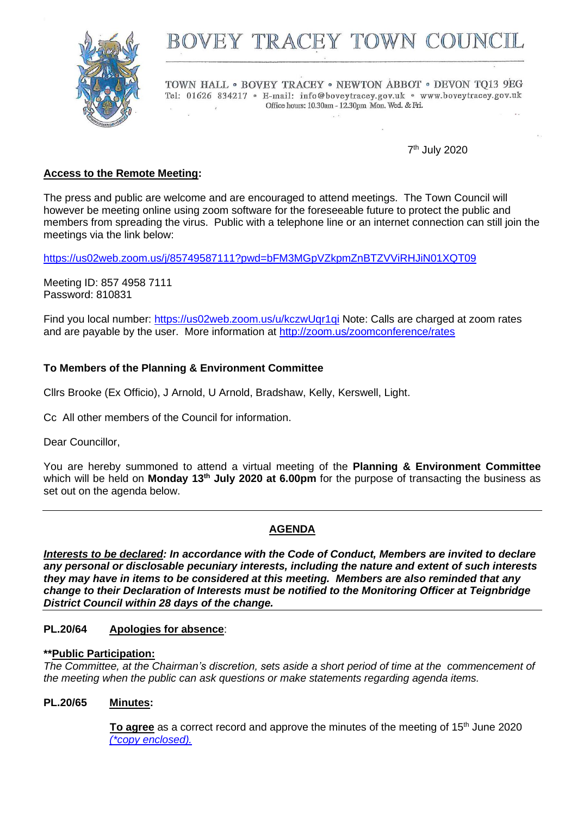

# BOVEY TRACEY TOWN COUN

TOWN HALL . BOVEY TRACEY . NEWTON ABBOT . DEVON TO13 9EG Tel: 01626 834217 · E-mail: info@boveytracey.gov.uk · www.boveytracey.gov.uk Office hours: 10.30am - 12.30pm Mon. Wed. & Fri.

7 th July 2020

# **Access to the Remote Meeting:**

The press and public are welcome and are encouraged to attend meetings. The Town Council will however be meeting online using zoom software for the foreseeable future to protect the public and members from spreading the virus. Public with a telephone line or an internet connection can still join the meetings via the link below:

<https://us02web.zoom.us/j/85749587111?pwd=bFM3MGpVZkpmZnBTZVViRHJiN01XQT09>

Meeting ID: 857 4958 7111 Password: 810831

Find you local number:<https://us02web.zoom.us/u/kczwUqr1qi> Note: Calls are charged at zoom rates and are payable by the user. More information at<http://zoom.us/zoomconference/rates>

#### **To Members of the Planning & Environment Committee**

Cllrs Brooke (Ex Officio), J Arnold, U Arnold, Bradshaw, Kelly, Kerswell, Light.

Cc All other members of the Council for information.

Dear Councillor,

You are hereby summoned to attend a virtual meeting of the **Planning & Environment Committee** which will be held on **Monday 13th July 2020 at 6.00pm** for the purpose of transacting the business as set out on the agenda below.

#### **AGENDA**

*Interests to be declared: In accordance with the Code of Conduct, Members are invited to declare any personal or disclosable pecuniary interests, including the nature and extent of such interests they may have in items to be considered at this meeting. Members are also reminded that any change to their Declaration of Interests must be notified to the Monitoring Officer at Teignbridge District Council within 28 days of the change.*

#### **PL.20/64 Apologies for absence**:

#### **\*\*Public Participation:**

*The Committee, at the Chairman's discretion, sets aside a short period of time at the commencement of the meeting when the public can ask questions or make statements regarding agenda items.*

#### **PL.20/65 Minutes:**

**To agree** as a correct record and approve the minutes of the meeting of 15<sup>th</sup> June 2020 *(\*copy [enclosed\).](https://www.dropbox.com/s/jm6eveh1o57jrjy/13.07.20%20-%20Plan%20Com%20Remote%20mtg%2015.6.20.pdf?dl=0)*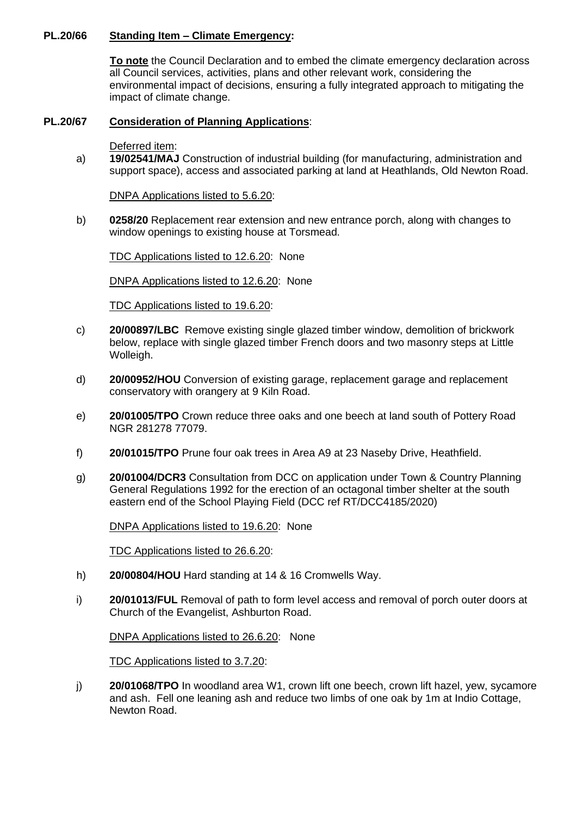#### **PL.20/66 Standing Item – Climate Emergency:**

**To note** the Council Declaration and to embed the climate emergency declaration across all Council services, activities, plans and other relevant work, considering the environmental impact of decisions, ensuring a fully integrated approach to mitigating the impact of climate change.

# **PL.20/67 Consideration of Planning Applications**:

Deferred item:

a) **19/02541/MAJ** Construction of industrial building (for manufacturing, administration and support space), access and associated parking at land at Heathlands, Old Newton Road.

DNPA Applications listed to 5.6.20:

b) **0258/20** Replacement rear extension and new entrance porch, along with changes to window openings to existing house at Torsmead.

TDC Applications listed to 12.6.20: None

DNPA Applications listed to 12.6.20: None

TDC Applications listed to 19.6.20:

- c) **20/00897/LBC** Remove existing single glazed timber window, demolition of brickwork below, replace with single glazed timber French doors and two masonry steps at Little Wolleigh.
- d) **20/00952/HOU** Conversion of existing garage, replacement garage and replacement conservatory with orangery at 9 Kiln Road.
- e) **20/01005/TPO** Crown reduce three oaks and one beech at land south of Pottery Road NGR 281278 77079.
- f) **20/01015/TPO** Prune four oak trees in Area A9 at 23 Naseby Drive, Heathfield.
- g) **20/01004/DCR3** Consultation from DCC on application under Town & Country Planning General Regulations 1992 for the erection of an octagonal timber shelter at the south eastern end of the School Playing Field (DCC ref RT/DCC4185/2020)

DNPA Applications listed to 19.6.20: None

TDC Applications listed to 26.6.20:

- h) **20/00804/HOU** Hard standing at 14 & 16 Cromwells Way.
- i) **20/01013/FUL** Removal of path to form level access and removal of porch outer doors at Church of the Evangelist, Ashburton Road.

DNPA Applications listed to 26.6.20: None

TDC Applications listed to 3.7.20:

j) **20/01068/TPO** In woodland area W1, crown lift one beech, crown lift hazel, yew, sycamore and ash. Fell one leaning ash and reduce two limbs of one oak by 1m at Indio Cottage, Newton Road.